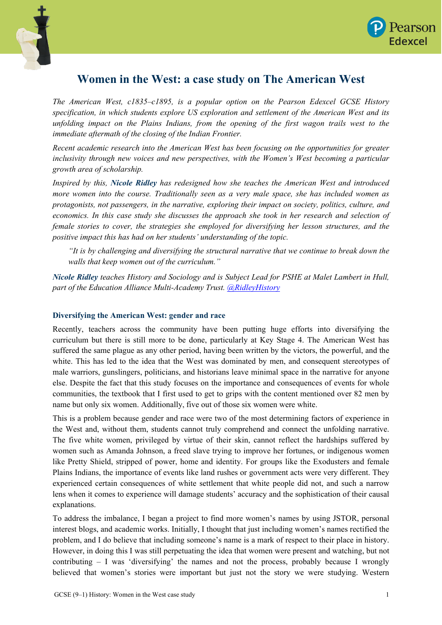



## **Women in the West: a case study on The American West**

*The American West, c1835–c1895, is a popular option on the Pearson Edexcel GCSE History specification, in which students explore US exploration and settlement of the American West and its unfolding impact on the Plains Indians, from the opening of the first wagon trails west to the immediate aftermath of the closing of the Indian Frontier.*

*Recent academic research into the American West has been focusing on the opportunities for greater inclusivity through new voices and new perspectives, with the Women's West becoming a particular growth area of scholarship.* 

*Inspired by this, Nicole Ridley has redesigned how she teaches the American West and introduced more women into the course. Traditionally seen as a very male space, she has included women as protagonists, not passengers, in the narrative, exploring their impact on society, politics, culture, and economics. In this case study she discusses the approach she took in her research and selection of female stories to cover, the strategies she employed for diversifying her lesson structures, and the positive impact this has had on her students' understanding of the topic.*

*"It is by challenging and diversifying the structural narrative that we continue to break down the walls that keep women out of the curriculum."*

*Nicole Ridley teaches History and Sociology and is Subject Lead for PSHE at Malet Lambert in Hull, part of the Education Alliance Multi-Academy Trust. [@RidleyHistory](https://twitter.com/RidleyHistory)*

## **Diversifying the American West: gender and race**

Recently, teachers across the community have been putting huge efforts into diversifying the curriculum but there is still more to be done, particularly at Key Stage 4. The American West has suffered the same plague as any other period, having been written by the victors, the powerful, and the white. This has led to the idea that the West was dominated by men, and consequent stereotypes of male warriors, gunslingers, politicians, and historians leave minimal space in the narrative for anyone else. Despite the fact that this study focuses on the importance and consequences of events for whole communities, the textbook that I first used to get to grips with the content mentioned over 82 men by name but only six women. Additionally, five out of those six women were white.

This is a problem because gender and race were two of the most determining factors of experience in the West and, without them, students cannot truly comprehend and connect the unfolding narrative. The five white women, privileged by virtue of their skin, cannot reflect the hardships suffered by women such as Amanda Johnson, a freed slave trying to improve her fortunes, or indigenous women like Pretty Shield, stripped of power, home and identity. For groups like the Exodusters and female Plains Indians, the importance of events like land rushes or government acts were very different. They experienced certain consequences of white settlement that white people did not, and such a narrow lens when it comes to experience will damage students' accuracy and the sophistication of their causal explanations.

To address the imbalance, I began a project to find more women's names by using JSTOR, personal interest blogs, and academic works. Initially, I thought that just including women's names rectified the problem, and I do believe that including someone's name is a mark of respect to their place in history. However, in doing this I was still perpetuating the idea that women were present and watching, but not contributing  $- I$  was 'diversifying' the names and not the process, probably because I wrongly believed that women's stories were important but just not the story we were studying. Western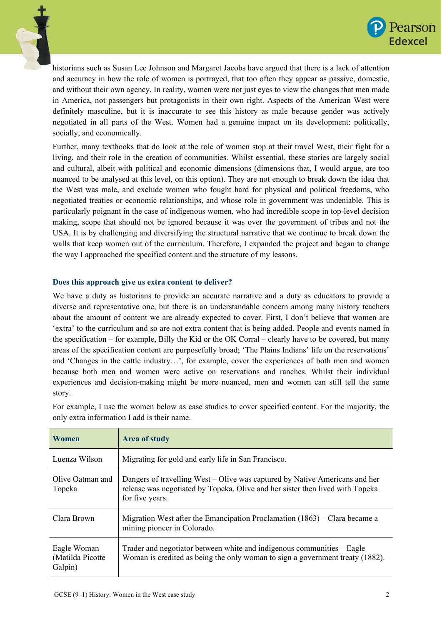



historians such as Susan Lee Johnson and Margaret Jacobs have argued that there is a lack of attention and accuracy in how the role of women is portrayed, that too often they appear as passive, domestic, and without their own agency. In reality, women were not just eyes to view the changes that men made in America, not passengers but protagonists in their own right. Aspects of the American West were definitely masculine, but it is inaccurate to see this history as male because gender was actively negotiated in all parts of the West. Women had a genuine impact on its development: politically, socially, and economically.

Further, many textbooks that do look at the role of women stop at their travel West, their fight for a living, and their role in the creation of communities. Whilst essential, these stories are largely social and cultural, albeit with political and economic dimensions (dimensions that, I would argue, are too nuanced to be analysed at this level, on this option). They are not enough to break down the idea that the West was male, and exclude women who fought hard for physical and political freedoms, who negotiated treaties or economic relationships, and whose role in government was undeniable. This is particularly poignant in the case of indigenous women, who had incredible scope in top-level decision making, scope that should not be ignored because it was over the government of tribes and not the USA. It is by challenging and diversifying the structural narrative that we continue to break down the walls that keep women out of the curriculum. Therefore, I expanded the project and began to change the way I approached the specified content and the structure of my lessons.

## **Does this approach give us extra content to deliver?**

We have a duty as historians to provide an accurate narrative and a duty as educators to provide a diverse and representative one, but there is an understandable concern among many history teachers about the amount of content we are already expected to cover. First, I don't believe that women are 'extra' to the curriculum and so are not extra content that is being added. People and events named in the specification – for example, Billy the Kid or the OK Corral – clearly have to be covered, but many areas of the specification content are purposefully broad; 'The Plains Indians' life on the reservations' and 'Changes in the cattle industry…', for example, cover the experiences of both men and women because both men and women were active on reservations and ranches. Whilst their individual experiences and decision-making might be more nuanced, men and women can still tell the same story.

For example, I use the women below as case studies to cover specified content. For the majority, the only extra information I add is their name.

| Women                                      | <b>Area of study</b>                                                                                                                                                            |
|--------------------------------------------|---------------------------------------------------------------------------------------------------------------------------------------------------------------------------------|
| Luenza Wilson                              | Migrating for gold and early life in San Francisco.                                                                                                                             |
| Olive Oatman and<br>Topeka                 | Dangers of travelling West – Olive was captured by Native Americans and her<br>release was negotiated by Topeka. Olive and her sister then lived with Topeka<br>for five years. |
| Clara Brown                                | Migration West after the Emancipation Proclamation $(1863)$ – Clara became a<br>mining pioneer in Colorado.                                                                     |
| Eagle Woman<br>(Matilda Picotte<br>Galpin) | Trader and negotiator between white and indigenous communities – Eagle<br>Woman is credited as being the only woman to sign a government treaty (1882).                         |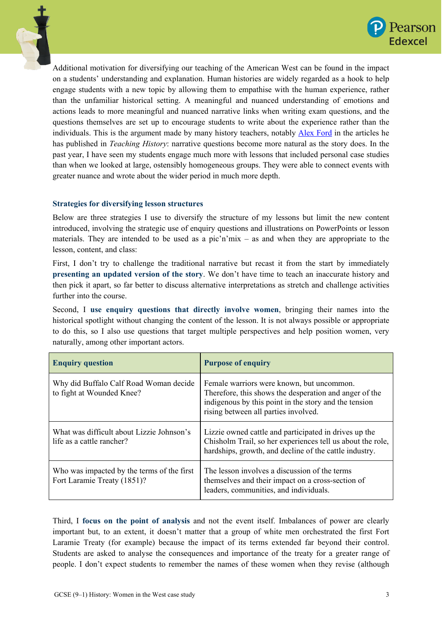



Additional motivation for diversifying our teaching of the American West can be found in the impact on a students' understanding and explanation. Human histories are widely regarded as a hook to help engage students with a new topic by allowing them to empathise with the human experience, rather than the unfamiliar historical setting. A meaningful and nuanced understanding of emotions and actions leads to more meaningful and nuanced narrative links when writing exam questions, and the questions themselves are set up to encourage students to write about the experience rather than the individuals. This is the argument made by many history teachers, notably [Alex Ford](https://twitter.com/apf102) in the articles he has published in *Teaching History*: narrative questions become more natural as the story does. In the past year, I have seen my students engage much more with lessons that included personal case studies than when we looked at large, ostensibly homogeneous groups. They were able to connect events with greater nuance and wrote about the wider period in much more depth.

## **Strategies for diversifying lesson structures**

Below are three strategies I use to diversify the structure of my lessons but limit the new content introduced, involving the strategic use of enquiry questions and illustrations on PowerPoints or lesson materials. They are intended to be used as a pic'n'mix – as and when they are appropriate to the lesson, content, and class:

First, I don't try to challenge the traditional narrative but recast it from the start by immediately **presenting an updated version of the story**. We don't have time to teach an inaccurate history and then pick it apart, so far better to discuss alternative interpretations as stretch and challenge activities further into the course.

Second, I **use enquiry questions that directly involve women**, bringing their names into the historical spotlight without changing the content of the lesson. It is not always possible or appropriate to do this, so I also use questions that target multiple perspectives and help position women, very naturally, among other important actors.

| <b>Enquiry question</b>                                                   | <b>Purpose of enquiry</b>                                                                                                                                                                            |
|---------------------------------------------------------------------------|------------------------------------------------------------------------------------------------------------------------------------------------------------------------------------------------------|
| Why did Buffalo Calf Road Woman decide<br>to fight at Wounded Knee?       | Female warriors were known, but uncommon.<br>Therefore, this shows the desperation and anger of the<br>indigenous by this point in the story and the tension<br>rising between all parties involved. |
| What was difficult about Lizzie Johnson's<br>life as a cattle rancher?    | Lizzie owned cattle and participated in drives up the<br>Chisholm Trail, so her experiences tell us about the role,<br>hardships, growth, and decline of the cattle industry.                        |
| Who was impacted by the terms of the first<br>Fort Laramie Treaty (1851)? | The lesson involves a discussion of the terms<br>themselves and their impact on a cross-section of<br>leaders, communities, and individuals.                                                         |

Third, I **focus on the point of analysis** and not the event itself. Imbalances of power are clearly important but, to an extent, it doesn't matter that a group of white men orchestrated the first Fort Laramie Treaty (for example) because the impact of its terms extended far beyond their control. Students are asked to analyse the consequences and importance of the treaty for a greater range of people. I don't expect students to remember the names of these women when they revise (although